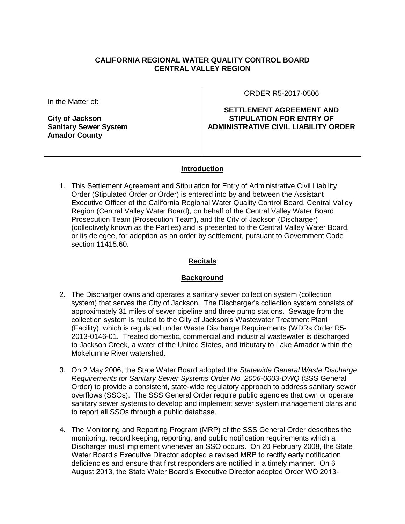## **CALIFORNIA REGIONAL WATER QUALITY CONTROL BOARD CENTRAL VALLEY REGION**

In the Matter of:

**City of Jackson Sanitary Sewer System Amador County**

ORDER R5-2017-0506

**SETTLEMENT AGREEMENT AND STIPULATION FOR ENTRY OF ADMINISTRATIVE CIVIL LIABILITY ORDER**

## **Introduction**

1. This Settlement Agreement and Stipulation for Entry of Administrative Civil Liability Order (Stipulated Order or Order) is entered into by and between the Assistant Executive Officer of the California Regional Water Quality Control Board, Central Valley Region (Central Valley Water Board), on behalf of the Central Valley Water Board Prosecution Team (Prosecution Team), and the City of Jackson (Discharger) (collectively known as the Parties) and is presented to the Central Valley Water Board, or its delegee, for adoption as an order by settlement, pursuant to Government Code section 11415.60.

## **Recitals**

## **Background**

- 2. The Discharger owns and operates a sanitary sewer collection system (collection system) that serves the City of Jackson. The Discharger's collection system consists of approximately 31 miles of sewer pipeline and three pump stations. Sewage from the collection system is routed to the City of Jackson's Wastewater Treatment Plant (Facility), which is regulated under Waste Discharge Requirements (WDRs Order R5- 2013-0146-01. Treated domestic, commercial and industrial wastewater is discharged to Jackson Creek, a water of the United States, and tributary to Lake Amador within the Mokelumne River watershed.
- 3. On 2 May 2006, the State Water Board adopted the *Statewide General Waste Discharge Requirements for Sanitary Sewer Systems Order No. 2006-0003-DWQ* (SSS General Order) to provide a consistent, state-wide regulatory approach to address sanitary sewer overflows (SSOs). The SSS General Order require public agencies that own or operate sanitary sewer systems to develop and implement sewer system management plans and to report all SSOs through a public database.
- 4. The Monitoring and Reporting Program (MRP) of the SSS General Order describes the monitoring, record keeping, reporting, and public notification requirements which a Discharger must implement whenever an SSO occurs. On 20 February 2008, the State Water Board's Executive Director adopted a revised MRP to rectify early notification deficiencies and ensure that first responders are notified in a timely manner. On 6 August 2013, the State Water Board's Executive Director adopted Order WQ 2013-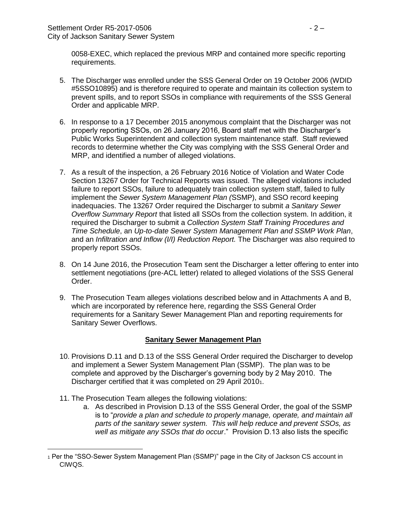0058-EXEC, which replaced the previous MRP and contained more specific reporting requirements.

- 5. The Discharger was enrolled under the SSS General Order on 19 October 2006 (WDID #5SSO10895) and is therefore required to operate and maintain its collection system to prevent spills, and to report SSOs in compliance with requirements of the SSS General Order and applicable MRP.
- 6. In response to a 17 December 2015 anonymous complaint that the Discharger was not properly reporting SSOs, on 26 January 2016, Board staff met with the Discharger's Public Works Superintendent and collection system maintenance staff. Staff reviewed records to determine whether the City was complying with the SSS General Order and MRP, and identified a number of alleged violations.
- 7. As a result of the inspection, a 26 February 2016 Notice of Violation and Water Code Section 13267 Order for Technical Reports was issued. The alleged violations included failure to report SSOs, failure to adequately train collection system staff, failed to fully implement the *Sewer System Management Plan (*SSMP), and SSO record keeping inadequacies. The 13267 Order required the Discharger to submit *a Sanitary Sewer Overflow Summary Report* that listed all SSOs from the collection system. In addition, it required the Discharger to submit a *Collection System Staff Training Procedures and Time Schedule*, an *Up-to-date Sewer System Management Plan and SSMP Work Plan*, and an *Infiltration and Inflow (I/I) Reduction Report.* The Discharger was also required to properly report SSOs.
- 8. On 14 June 2016, the Prosecution Team sent the Discharger a letter offering to enter into settlement negotiations (pre-ACL letter) related to alleged violations of the SSS General Order.
- 9. The Prosecution Team alleges violations described below and in Attachments A and B, which are incorporated by reference here, regarding the SSS General Order requirements for a Sanitary Sewer Management Plan and reporting requirements for Sanitary Sewer Overflows.

## **Sanitary Sewer Management Plan**

- 10. Provisions D.11 and D.13 of the SSS General Order required the Discharger to develop and implement a Sewer System Management Plan (SSMP). The plan was to be complete and approved by the Discharger's governing body by 2 May 2010. The Discharger certified that it was completed on 29 April 20101.
- 11. The Prosecution Team alleges the following violations:

l

a. As described in Provision D.13 of the SSS General Order, the goal of the SSMP is to "*provide a plan and schedule to properly manage, operate, and maintain all parts of the sanitary sewer system. This will help reduce and prevent SSOs, as well as mitigate any SSOs that do occur*." Provision D.13 also lists the specific

<sup>1</sup> Per the "SSO-Sewer System Management Plan (SSMP)" page in the City of Jackson CS account in CIWQS.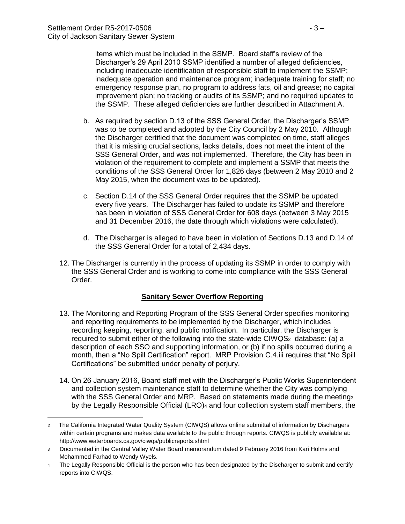l

items which must be included in the SSMP. Board staff's review of the Discharger's 29 April 2010 SSMP identified a number of alleged deficiencies, including inadequate identification of responsible staff to implement the SSMP; inadequate operation and maintenance program; inadequate training for staff; no emergency response plan, no program to address fats, oil and grease; no capital improvement plan; no tracking or audits of its SSMP; and no required updates to the SSMP. These alleged deficiencies are further described in Attachment A.

- b. As required by section D.13 of the SSS General Order, the Discharger's SSMP was to be completed and adopted by the City Council by 2 May 2010. Although the Discharger certified that the document was completed on time, staff alleges that it is missing crucial sections, lacks details, does not meet the intent of the SSS General Order, and was not implemented. Therefore, the City has been in violation of the requirement to complete and implement a SSMP that meets the conditions of the SSS General Order for 1,826 days (between 2 May 2010 and 2 May 2015, when the document was to be updated).
- c. Section D.14 of the SSS General Order requires that the SSMP be updated every five years. The Discharger has failed to update its SSMP and therefore has been in violation of SSS General Order for 608 days (between 3 May 2015 and 31 December 2016, the date through which violations were calculated).
- d. The Discharger is alleged to have been in violation of Sections D.13 and D.14 of the SSS General Order for a total of 2,434 days.
- 12. The Discharger is currently in the process of updating its SSMP in order to comply with the SSS General Order and is working to come into compliance with the SSS General Order.

## **Sanitary Sewer Overflow Reporting**

- 13. The Monitoring and Reporting Program of the SSS General Order specifies monitoring and reporting requirements to be implemented by the Discharger, which includes recording keeping, reporting, and public notification. In particular, the Discharger is required to submit either of the following into the state-wide CIWQS<sub>2</sub> database: (a) a description of each SSO and supporting information, or (b) if no spills occurred during a month, then a "No Spill Certification" report. MRP Provision C.4.iii requires that "No Spill Certifications" be submitted under penalty of perjury.
- 14. On 26 January 2016, Board staff met with the Discharger's Public Works Superintendent and collection system maintenance staff to determine whether the City was complying with the SSS General Order and MRP. Based on statements made during the meeting 3 by the Legally Responsible Official (LRO)<sup>4</sup> and four collection system staff members, the

<sup>2</sup> The California Integrated Water Quality System (CIWQS) allows online submittal of information by Dischargers within certain programs and makes data available to the public through reports. CIWQS is publicly available at: http://www.waterboards.ca.gov/ciwqs/publicreports.shtml

<sup>3</sup> Documented in the Central Valley Water Board memorandum dated 9 February 2016 from Kari Holms and Mohammed Farhad to Wendy Wyels.

<sup>&</sup>lt;sup>4</sup> The Legally Responsible Official is the person who has been designated by the Discharger to submit and certify reports into CIWQS.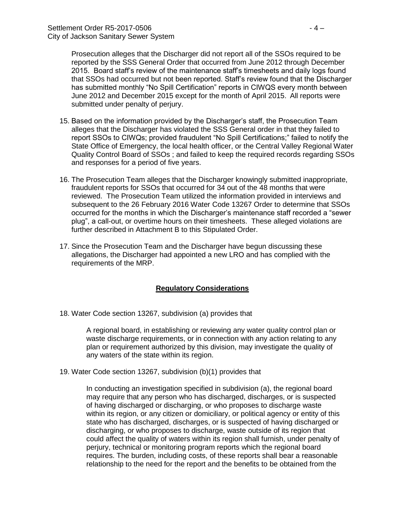Prosecution alleges that the Discharger did not report all of the SSOs required to be reported by the SSS General Order that occurred from June 2012 through December 2015. Board staff's review of the maintenance staff's timesheets and daily logs found that SSOs had occurred but not been reported. Staff's review found that the Discharger has submitted monthly "No Spill Certification" reports in CIWQS every month between June 2012 and December 2015 except for the month of April 2015. All reports were submitted under penalty of perjury.

- 15. Based on the information provided by the Discharger's staff, the Prosecution Team alleges that the Discharger has violated the SSS General order in that they failed to report SSOs to CIWQs; provided fraudulent "No Spill Certifications;" failed to notify the State Office of Emergency, the local health officer, or the Central Valley Regional Water Quality Control Board of SSOs ; and failed to keep the required records regarding SSOs and responses for a period of five years.
- 16. The Prosecution Team alleges that the Discharger knowingly submitted inappropriate, fraudulent reports for SSOs that occurred for 34 out of the 48 months that were reviewed. The Prosecution Team utilized the information provided in interviews and subsequent to the 26 February 2016 Water Code 13267 Order to determine that SSOs occurred for the months in which the Discharger's maintenance staff recorded a "sewer plug", a call-out, or overtime hours on their timesheets. These alleged violations are further described in Attachment B to this Stipulated Order.
- 17. Since the Prosecution Team and the Discharger have begun discussing these allegations, the Discharger had appointed a new LRO and has complied with the requirements of the MRP.

## **Regulatory Considerations**

18. Water Code section 13267, subdivision (a) provides that

A regional board, in establishing or reviewing any water quality control plan or waste discharge requirements, or in connection with any action relating to any plan or requirement authorized by this division, may investigate the quality of any waters of the state within its region.

19. Water Code section 13267, subdivision (b)(1) provides that

In conducting an investigation specified in subdivision (a), the regional board may require that any person who has discharged, discharges, or is suspected of having discharged or discharging, or who proposes to discharge waste within its region, or any citizen or domiciliary, or political agency or entity of this state who has discharged, discharges, or is suspected of having discharged or discharging, or who proposes to discharge, waste outside of its region that could affect the quality of waters within its region shall furnish, under penalty of perjury, technical or monitoring program reports which the regional board requires. The burden, including costs, of these reports shall bear a reasonable relationship to the need for the report and the benefits to be obtained from the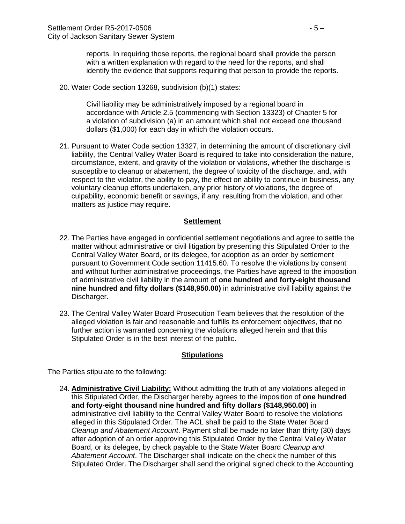reports. In requiring those reports, the regional board shall provide the person with a written explanation with regard to the need for the reports, and shall identify the evidence that supports requiring that person to provide the reports.

20. Water Code section 13268, subdivision (b)(1) states:

Civil liability may be administratively imposed by a regional board in accordance with Article 2.5 (commencing with Section 13323) of Chapter 5 for a violation of subdivision (a) in an amount which shall not exceed one thousand dollars (\$1,000) for each day in which the violation occurs.

21. Pursuant to Water Code section 13327, in determining the amount of discretionary civil liability, the Central Valley Water Board is required to take into consideration the nature, circumstance, extent, and gravity of the violation or violations, whether the discharge is susceptible to cleanup or abatement, the degree of toxicity of the discharge, and, with respect to the violator, the ability to pay, the effect on ability to continue in business, any voluntary cleanup efforts undertaken, any prior history of violations, the degree of culpability, economic benefit or savings, if any, resulting from the violation, and other matters as justice may require.

#### **Settlement**

- 22. The Parties have engaged in confidential settlement negotiations and agree to settle the matter without administrative or civil litigation by presenting this Stipulated Order to the Central Valley Water Board, or its delegee, for adoption as an order by settlement pursuant to Government Code section 11415.60. To resolve the violations by consent and without further administrative proceedings, the Parties have agreed to the imposition of administrative civil liability in the amount of **one hundred and forty-eight thousand nine hundred and fifty dollars (\$148,950.00)** in administrative civil liability against the Discharger.
- 23. The Central Valley Water Board Prosecution Team believes that the resolution of the alleged violation is fair and reasonable and fulfills its enforcement objectives, that no further action is warranted concerning the violations alleged herein and that this Stipulated Order is in the best interest of the public.

#### **Stipulations**

The Parties stipulate to the following:

24. **Administrative Civil Liability:** Without admitting the truth of any violations alleged in this Stipulated Order, the Discharger hereby agrees to the imposition of **one hundred and forty-eight thousand nine hundred and fifty dollars (\$148,950.00)** in administrative civil liability to the Central Valley Water Board to resolve the violations alleged in this Stipulated Order. The ACL shall be paid to the State Water Board *Cleanup and Abatement Account*. Payment shall be made no later than thirty (30) days after adoption of an order approving this Stipulated Order by the Central Valley Water Board, or its delegee, by check payable to the State Water Board *Cleanup and Abatement Account*. The Discharger shall indicate on the check the number of this Stipulated Order. The Discharger shall send the original signed check to the Accounting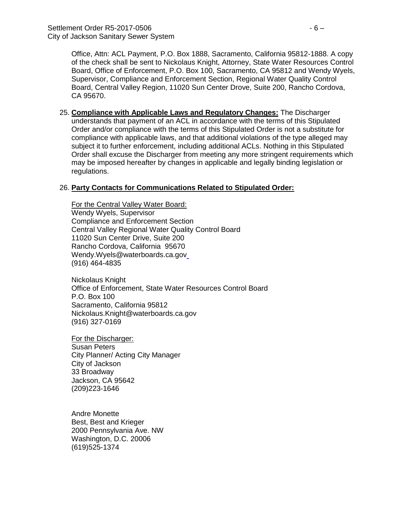Office, Attn: ACL Payment, P.O. Box 1888, Sacramento, California 95812-1888. A copy of the check shall be sent to Nickolaus Knight, Attorney, State Water Resources Control Board, Office of Enforcement, P.O. Box 100, Sacramento, CA 95812 and Wendy Wyels, Supervisor, Compliance and Enforcement Section, Regional Water Quality Control Board, Central Valley Region, 11020 Sun Center Drove, Suite 200, Rancho Cordova, CA 95670.

25. **Compliance with Applicable Laws and Regulatory Changes:** The Discharger understands that payment of an ACL in accordance with the terms of this Stipulated Order and/or compliance with the terms of this Stipulated Order is not a substitute for compliance with applicable laws, and that additional violations of the type alleged may subject it to further enforcement, including additional ACLs. Nothing in this Stipulated Order shall excuse the Discharger from meeting any more stringent requirements which may be imposed hereafter by changes in applicable and legally binding legislation or regulations.

## 26. **Party Contacts for Communications Related to Stipulated Order:**

For the Central Valley Water Board: Wendy Wyels, Supervisor Compliance and Enforcement Section Central Valley Regional Water Quality Control Board 11020 Sun Center Drive, Suite 200 Rancho Cordova, California 95670 Wendy.Wyels@waterboards.ca.gov (916) 464-4835

Nickolaus Knight Office of Enforcement, State Water Resources Control Board P.O. Box 100 Sacramento, California 95812 Nickolaus.Knight@waterboards.ca.gov (916) 327-0169

For the Discharger: Susan Peters City Planner/ Acting City Manager City of Jackson 33 Broadway Jackson, CA 95642 (209)223-1646

Andre Monette Best, Best and Krieger 2000 Pennsylvania Ave. NW Washington, D.C. 20006 (619)525-1374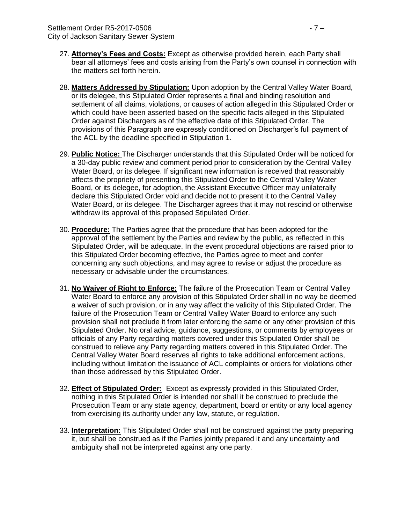- 27. **Attorney's Fees and Costs:** Except as otherwise provided herein, each Party shall bear all attorneys' fees and costs arising from the Party's own counsel in connection with the matters set forth herein.
- 28. **Matters Addressed by Stipulation:** Upon adoption by the Central Valley Water Board, or its delegee, this Stipulated Order represents a final and binding resolution and settlement of all claims, violations, or causes of action alleged in this Stipulated Order or which could have been asserted based on the specific facts alleged in this Stipulated Order against Dischargers as of the effective date of this Stipulated Order. The provisions of this Paragraph are expressly conditioned on Discharger's full payment of the ACL by the deadline specified in Stipulation 1.
- 29. **Public Notice:** The Discharger understands that this Stipulated Order will be noticed for a 30-day public review and comment period prior to consideration by the Central Valley Water Board, or its delegee. If significant new information is received that reasonably affects the propriety of presenting this Stipulated Order to the Central Valley Water Board, or its delegee, for adoption, the Assistant Executive Officer may unilaterally declare this Stipulated Order void and decide not to present it to the Central Valley Water Board, or its delegee. The Discharger agrees that it may not rescind or otherwise withdraw its approval of this proposed Stipulated Order.
- 30. **Procedure:** The Parties agree that the procedure that has been adopted for the approval of the settlement by the Parties and review by the public, as reflected in this Stipulated Order, will be adequate. In the event procedural objections are raised prior to this Stipulated Order becoming effective, the Parties agree to meet and confer concerning any such objections, and may agree to revise or adjust the procedure as necessary or advisable under the circumstances.
- 31. **No Waiver of Right to Enforce:** The failure of the Prosecution Team or Central Valley Water Board to enforce any provision of this Stipulated Order shall in no way be deemed a waiver of such provision, or in any way affect the validity of this Stipulated Order. The failure of the Prosecution Team or Central Valley Water Board to enforce any such provision shall not preclude it from later enforcing the same or any other provision of this Stipulated Order. No oral advice, guidance, suggestions, or comments by employees or officials of any Party regarding matters covered under this Stipulated Order shall be construed to relieve any Party regarding matters covered in this Stipulated Order. The Central Valley Water Board reserves all rights to take additional enforcement actions, including without limitation the issuance of ACL complaints or orders for violations other than those addressed by this Stipulated Order.
- 32. **Effect of Stipulated Order:** Except as expressly provided in this Stipulated Order, nothing in this Stipulated Order is intended nor shall it be construed to preclude the Prosecution Team or any state agency, department, board or entity or any local agency from exercising its authority under any law, statute, or regulation.
- 33. **Interpretation:** This Stipulated Order shall not be construed against the party preparing it, but shall be construed as if the Parties jointly prepared it and any uncertainty and ambiguity shall not be interpreted against any one party.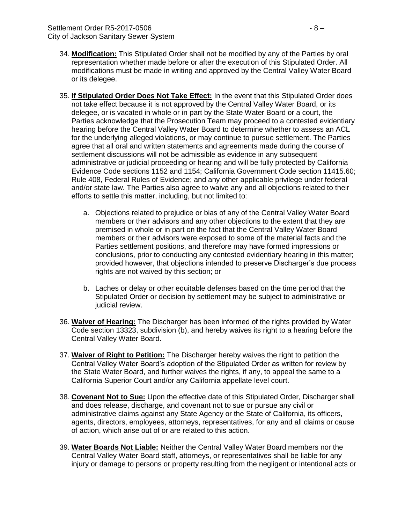- 34. **Modification:** This Stipulated Order shall not be modified by any of the Parties by oral representation whether made before or after the execution of this Stipulated Order. All modifications must be made in writing and approved by the Central Valley Water Board or its delegee.
- 35. **If Stipulated Order Does Not Take Effect:** In the event that this Stipulated Order does not take effect because it is not approved by the Central Valley Water Board, or its delegee, or is vacated in whole or in part by the State Water Board or a court, the Parties acknowledge that the Prosecution Team may proceed to a contested evidentiary hearing before the Central Valley Water Board to determine whether to assess an ACL for the underlying alleged violations, or may continue to pursue settlement. The Parties agree that all oral and written statements and agreements made during the course of settlement discussions will not be admissible as evidence in any subsequent administrative or judicial proceeding or hearing and will be fully protected by California Evidence Code sections 1152 and 1154; California Government Code section 11415.60; Rule 408, Federal Rules of Evidence; and any other applicable privilege under federal and/or state law. The Parties also agree to waive any and all objections related to their efforts to settle this matter, including, but not limited to:
	- a. Objections related to prejudice or bias of any of the Central Valley Water Board members or their advisors and any other objections to the extent that they are premised in whole or in part on the fact that the Central Valley Water Board members or their advisors were exposed to some of the material facts and the Parties settlement positions, and therefore may have formed impressions or conclusions, prior to conducting any contested evidentiary hearing in this matter; provided however, that objections intended to preserve Discharger's due process rights are not waived by this section; or
	- b. Laches or delay or other equitable defenses based on the time period that the Stipulated Order or decision by settlement may be subject to administrative or judicial review.
- 36. **Waiver of Hearing:** The Discharger has been informed of the rights provided by Water Code section 13323, subdivision (b), and hereby waives its right to a hearing before the Central Valley Water Board.
- 37. **Waiver of Right to Petition:** The Discharger hereby waives the right to petition the Central Valley Water Board's adoption of the Stipulated Order as written for review by the State Water Board, and further waives the rights, if any, to appeal the same to a California Superior Court and/or any California appellate level court.
- 38. **Covenant Not to Sue:** Upon the effective date of this Stipulated Order, Discharger shall and does release, discharge, and covenant not to sue or pursue any civil or administrative claims against any State Agency or the State of California, its officers, agents, directors, employees, attorneys, representatives, for any and all claims or cause of action, which arise out of or are related to this action.
- 39. **Water Boards Not Liable:** Neither the Central Valley Water Board members nor the Central Valley Water Board staff, attorneys, or representatives shall be liable for any injury or damage to persons or property resulting from the negligent or intentional acts or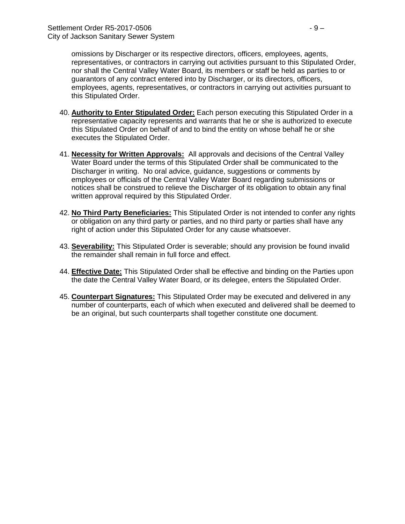omissions by Discharger or its respective directors, officers, employees, agents, representatives, or contractors in carrying out activities pursuant to this Stipulated Order, nor shall the Central Valley Water Board, its members or staff be held as parties to or guarantors of any contract entered into by Discharger, or its directors, officers, employees, agents, representatives, or contractors in carrying out activities pursuant to this Stipulated Order.

- 40. **Authority to Enter Stipulated Order:** Each person executing this Stipulated Order in a representative capacity represents and warrants that he or she is authorized to execute this Stipulated Order on behalf of and to bind the entity on whose behalf he or she executes the Stipulated Order.
- 41. **Necessity for Written Approvals:** All approvals and decisions of the Central Valley Water Board under the terms of this Stipulated Order shall be communicated to the Discharger in writing. No oral advice, guidance, suggestions or comments by employees or officials of the Central Valley Water Board regarding submissions or notices shall be construed to relieve the Discharger of its obligation to obtain any final written approval required by this Stipulated Order.
- 42. **No Third Party Beneficiaries:** This Stipulated Order is not intended to confer any rights or obligation on any third party or parties, and no third party or parties shall have any right of action under this Stipulated Order for any cause whatsoever.
- 43. **Severability:** This Stipulated Order is severable; should any provision be found invalid the remainder shall remain in full force and effect.
- 44. **Effective Date:** This Stipulated Order shall be effective and binding on the Parties upon the date the Central Valley Water Board, or its delegee, enters the Stipulated Order.
- 45. **Counterpart Signatures:** This Stipulated Order may be executed and delivered in any number of counterparts, each of which when executed and delivered shall be deemed to be an original, but such counterparts shall together constitute one document.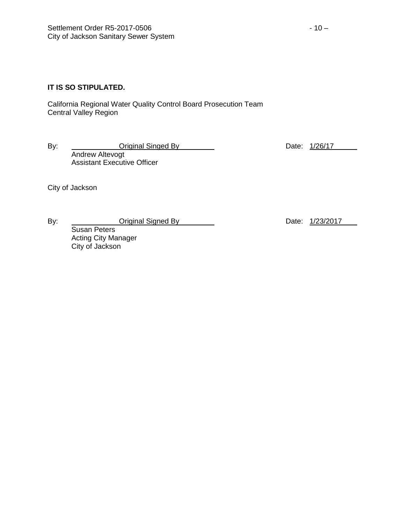## **IT IS SO STIPULATED.**

California Regional Water Quality Control Board Prosecution Team Central Valley Region

By: Criginal Singed By Date: 1/26/17 Andrew Altevogt Assistant Executive Officer

City of Jackson

By: Criginal Signed By Date: 1/23/2017

Susan Peters Acting City Manager City of Jackson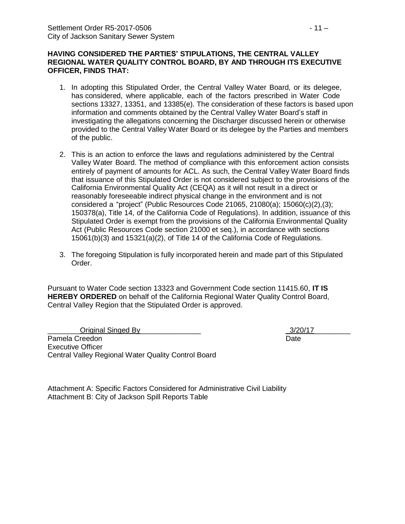#### **HAVING CONSIDERED THE PARTIES' STIPULATIONS, THE CENTRAL VALLEY REGIONAL WATER QUALITY CONTROL BOARD, BY AND THROUGH ITS EXECUTIVE OFFICER, FINDS THAT:**

- 1. In adopting this Stipulated Order, the Central Valley Water Board, or its delegee, has considered, where applicable, each of the factors prescribed in Water Code sections 13327, 13351, and 13385(e). The consideration of these factors is based upon information and comments obtained by the Central Valley Water Board's staff in investigating the allegations concerning the Discharger discussed herein or otherwise provided to the Central Valley Water Board or its delegee by the Parties and members of the public.
- 2. This is an action to enforce the laws and regulations administered by the Central Valley Water Board. The method of compliance with this enforcement action consists entirely of payment of amounts for ACL. As such, the Central Valley Water Board finds that issuance of this Stipulated Order is not considered subject to the provisions of the California Environmental Quality Act (CEQA) as it will not result in a direct or reasonably foreseeable indirect physical change in the environment and is not considered a "project" (Public Resources Code 21065, 21080(a); 15060(c)(2),(3); 150378(a), Title 14, of the California Code of Regulations). In addition, issuance of this Stipulated Order is exempt from the provisions of the California Environmental Quality Act (Public Resources Code section 21000 et seq.), in accordance with sections 15061(b)(3) and 15321(a)(2), of Title 14 of the California Code of Regulations.
- 3. The foregoing Stipulation is fully incorporated herein and made part of this Stipulated Order.

Pursuant to Water Code section 13323 and Government Code section 11415.60, **IT IS HEREBY ORDERED** on behalf of the California Regional Water Quality Control Board, Central Valley Region that the Stipulated Order is approved.

Original Singed By  $\overline{3}/20/17$ Pamela Creedon **Date** Executive Officer Central Valley Regional Water Quality Control Board

Attachment A: Specific Factors Considered for Administrative Civil Liability Attachment B: City of Jackson Spill Reports Table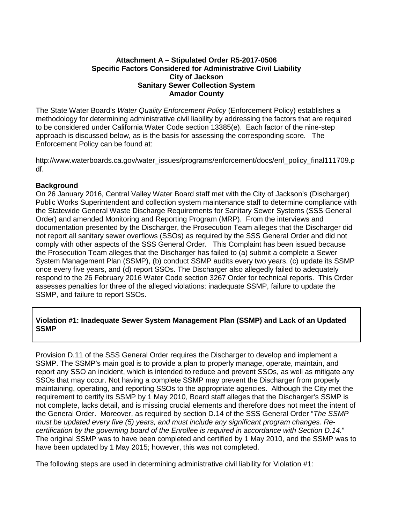## **Attachment A – Stipulated Order R5-2017-0506 Specific Factors Considered for Administrative Civil Liability City of Jackson Sanitary Sewer Collection System Amador County**

The State Water Board's *Water Quality Enforcement Policy* (Enforcement Policy) establishes a methodology for determining administrative civil liability by addressing the factors that are required to be considered under California Water Code section 13385(e). Each factor of the nine-step approach is discussed below, as is the basis for assessing the corresponding score. The Enforcement Policy can be found at:

http://www.waterboards.ca.gov/water\_issues/programs/enforcement/docs/enf\_policy\_final111709.p df.

## **Background**

On 26 January 2016, Central Valley Water Board staff met with the City of Jackson's (Discharger) Public Works Superintendent and collection system maintenance staff to determine compliance with the Statewide General Waste Discharge Requirements for Sanitary Sewer Systems (SSS General Order) and amended Monitoring and Reporting Program (MRP). From the interviews and documentation presented by the Discharger, the Prosecution Team alleges that the Discharger did not report all sanitary sewer overflows (SSOs) as required by the SSS General Order and did not comply with other aspects of the SSS General Order. This Complaint has been issued because the Prosecution Team alleges that the Discharger has failed to (a) submit a complete a Sewer System Management Plan (SSMP), (b) conduct SSMP audits every two years, (c) update its SSMP once every five years, and (d) report SSOs. The Discharger also allegedly failed to adequately respond to the 26 February 2016 Water Code section 3267 Order for technical reports. This Order assesses penalties for three of the alleged violations: inadequate SSMP, failure to update the SSMP, and failure to report SSOs.

## **Violation #1: Inadequate Sewer System Management Plan (SSMP) and Lack of an Updated SSMP**

Provision D.11 of the SSS General Order requires the Discharger to develop and implement a SSMP. The SSMP's main goal is to provide a plan to properly manage, operate, maintain, and report any SSO an incident, which is intended to reduce and prevent SSOs, as well as mitigate any SSOs that may occur. Not having a complete SSMP may prevent the Discharger from properly maintaining, operating, and reporting SSOs to the appropriate agencies. Although the City met the requirement to certify its SSMP by 1 May 2010, Board staff alleges that the Discharger's SSMP is not complete, lacks detail, and is missing crucial elements and therefore does not meet the intent of the General Order. Moreover, as required by section D.14 of the SSS General Order "*The SSMP must be updated every five (5) years, and must include any significant program changes. Recertification by the governing board of the Enrollee is required in accordance with Section D.14.*" The original SSMP was to have been completed and certified by 1 May 2010, and the SSMP was to have been updated by 1 May 2015; however, this was not completed.

The following steps are used in determining administrative civil liability for Violation #1: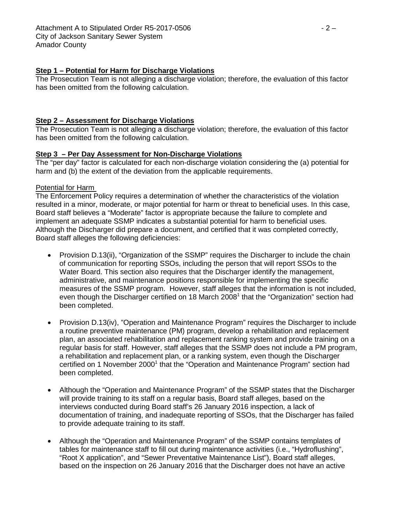# **Step 1 – Potential for Harm for Discharge Violations**

The Prosecution Team is not alleging a discharge violation; therefore, the evaluation of this factor has been omitted from the following calculation.

# **Step 2 – Assessment for Discharge Violations**

The Prosecution Team is not alleging a discharge violation; therefore, the evaluation of this factor has been omitted from the following calculation.

# **Step 3 – Per Day Assessment for Non-Discharge Violations**

The "per day" factor is calculated for each non-discharge violation considering the (a) potential for harm and (b) the extent of the deviation from the applicable requirements.

# Potential for Harm

The Enforcement Policy requires a determination of whether the characteristics of the violation resulted in a minor, moderate, or major potential for harm or threat to beneficial uses. In this case, Board staff believes a "Moderate" factor is appropriate because the failure to complete and implement an adequate SSMP indicates a substantial potential for harm to beneficial uses. Although the Discharger did prepare a document, and certified that it was completed correctly, Board staff alleges the following deficiencies:

- Provision D.13(ii), "Organization of the SSMP" requires the Discharger to include the chain of communication for reporting SSOs, including the person that will report SSOs to the Water Board. This section also requires that the Discharger identify the management, administrative, and maintenance positions responsible for implementing the specific measures of the SSMP program. However, staff alleges that the information is not included, even though the Discharger certified on 18 March 2008<sup>1</sup> that the "Organization" section had been completed.
- Provision D.13(iv), "Operation and Maintenance Program" requires the Discharger to include a routine preventive maintenance (PM) program, develop a rehabilitation and replacement plan, an associated rehabilitation and replacement ranking system and provide training on a regular basis for staff. However, staff alleges that the SSMP does not include a PM program, a rehabilitation and replacement plan, or a ranking system, even though the Discharger certified on 1 November 2000<sup>1</sup> that the "Operation and Maintenance Program" section had been completed.
- Although the "Operation and Maintenance Program" of the SSMP states that the Discharger will provide training to its staff on a regular basis, Board staff alleges, based on the interviews conducted during Board staff's 26 January 2016 inspection, a lack of documentation of training, and inadequate reporting of SSOs, that the Discharger has failed to provide adequate training to its staff.
- Although the "Operation and Maintenance Program" of the SSMP contains templates of tables for maintenance staff to fill out during maintenance activities (i.e., "Hydroflushing", "Root X application", and "Sewer Preventative Maintenance List"), Board staff alleges, based on the inspection on 26 January 2016 that the Discharger does not have an active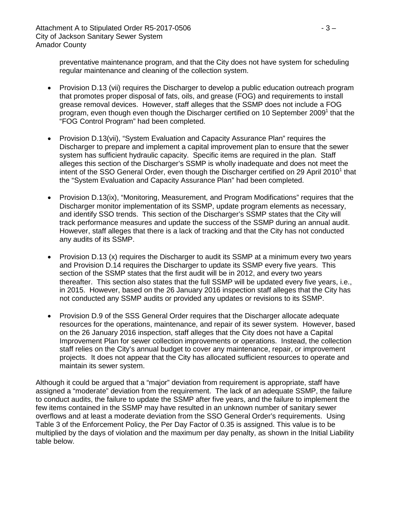preventative maintenance program, and that the City does not have system for scheduling regular maintenance and cleaning of the collection system.

- Provision D.13 (vii) requires the Discharger to develop a public education outreach program that promotes proper disposal of fats, oils, and grease (FOG) and requirements to install grease removal devices. However, staff alleges that the SSMP does not include a FOG program, even though even though the Discharger certified on 10 September 2009<sup>1</sup> that the "FOG Control Program" had been completed.
- Provision D.13(vii), "System Evaluation and Capacity Assurance Plan" requires the Discharger to prepare and implement a capital improvement plan to ensure that the sewer system has sufficient hydraulic capacity. Specific items are required in the plan. Staff alleges this section of the Discharger's SSMP is wholly inadequate and does not meet the intent of the SSO General Order, even though the Discharger certified on 29 April 2010 $^1$  that the "System Evaluation and Capacity Assurance Plan" had been completed.
- Provision D.13(ix), "Monitoring, Measurement, and Program Modifications" requires that the Discharger monitor implementation of its SSMP, update program elements as necessary, and identify SSO trends. This section of the Discharger's SSMP states that the City will track performance measures and update the success of the SSMP during an annual audit. However, staff alleges that there is a lack of tracking and that the City has not conducted any audits of its SSMP.
- Provision D.13 (x) requires the Discharger to audit its SSMP at a minimum every two years and Provision D.14 requires the Discharger to update its SSMP every five years. This section of the SSMP states that the first audit will be in 2012, and every two years thereafter. This section also states that the full SSMP will be updated every five years, i.e., in 2015. However, based on the 26 January 2016 inspection staff alleges that the City has not conducted any SSMP audits or provided any updates or revisions to its SSMP.
- Provision D.9 of the SSS General Order requires that the Discharger allocate adequate resources for the operations, maintenance, and repair of its sewer system. However, based on the 26 January 2016 inspection, staff alleges that the City does not have a Capital Improvement Plan for sewer collection improvements or operations. Instead, the collection staff relies on the City's annual budget to cover any maintenance, repair, or improvement projects. It does not appear that the City has allocated sufficient resources to operate and maintain its sewer system.

Although it could be argued that a "major" deviation from requirement is appropriate, staff have assigned a "moderate" deviation from the requirement. The lack of an adequate SSMP, the failure to conduct audits, the failure to update the SSMP after five years, and the failure to implement the few items contained in the SSMP may have resulted in an unknown number of sanitary sewer overflows and at least a moderate deviation from the SSO General Order's requirements. Using Table 3 of the Enforcement Policy, the Per Day Factor of 0.35 is assigned. This value is to be multiplied by the days of violation and the maximum per day penalty, as shown in the Initial Liability table below.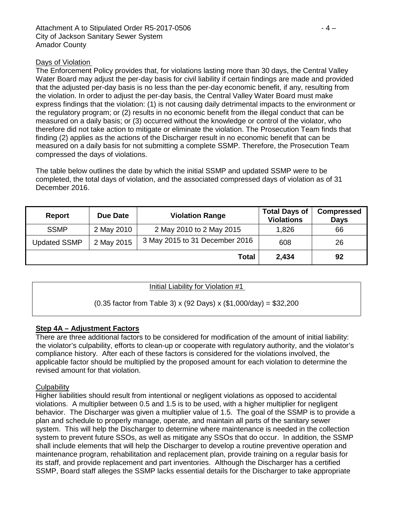## Days of Violation

The Enforcement Policy provides that, for violations lasting more than 30 days, the Central Valley Water Board may adjust the per-day basis for civil liability if certain findings are made and provided that the adjusted per-day basis is no less than the per-day economic benefit, if any, resulting from the violation. In order to adjust the per-day basis, the Central Valley Water Board must make express findings that the violation: (1) is not causing daily detrimental impacts to the environment or the regulatory program; or (2) results in no economic benefit from the illegal conduct that can be measured on a daily basis; or (3) occurred without the knowledge or control of the violator, who therefore did not take action to mitigate or eliminate the violation. The Prosecution Team finds that finding (2) applies as the actions of the Discharger result in no economic benefit that can be measured on a daily basis for not submitting a complete SSMP. Therefore, the Prosecution Team compressed the days of violations.

The table below outlines the date by which the initial SSMP and updated SSMP were to be completed, the total days of violation, and the associated compressed days of violation as of 31 December 2016.

| Report              | Due Date   | <b>Violation Range</b>         | <b>Total Days of</b><br><b>Violations</b> | <b>Compressed</b><br><b>Days</b> |  |
|---------------------|------------|--------------------------------|-------------------------------------------|----------------------------------|--|
| <b>SSMP</b>         | 2 May 2010 | 2 May 2010 to 2 May 2015       | 1,826                                     | 66                               |  |
| <b>Updated SSMP</b> | 2 May 2015 | 3 May 2015 to 31 December 2016 | 608                                       | 26                               |  |
|                     |            | Total                          | 2,434                                     | 92                               |  |

## Initial Liability for Violation #1

## (0.35 factor from Table 3) x (92 Days) x (\$1,000/day) = \$32,200

## **Step 4A – Adjustment Factors**

There are three additional factors to be considered for modification of the amount of initial liability: the violator's culpability, efforts to clean-up or cooperate with regulatory authority, and the violator's compliance history. After each of these factors is considered for the violations involved, the applicable factor should be multiplied by the proposed amount for each violation to determine the revised amount for that violation.

## **Culpability**

Higher liabilities should result from intentional or negligent violations as opposed to accidental violations. A multiplier between 0.5 and 1.5 is to be used, with a higher multiplier for negligent behavior. The Discharger was given a multiplier value of 1.5. The goal of the SSMP is to provide a plan and schedule to properly manage, operate, and maintain all parts of the sanitary sewer system. This will help the Discharger to determine where maintenance is needed in the collection system to prevent future SSOs, as well as mitigate any SSOs that do occur. In addition, the SSMP shall include elements that will help the Discharger to develop a routine preventive operation and maintenance program, rehabilitation and replacement plan, provide training on a regular basis for its staff, and provide replacement and part inventories. Although the Discharger has a certified SSMP, Board staff alleges the SSMP lacks essential details for the Discharger to take appropriate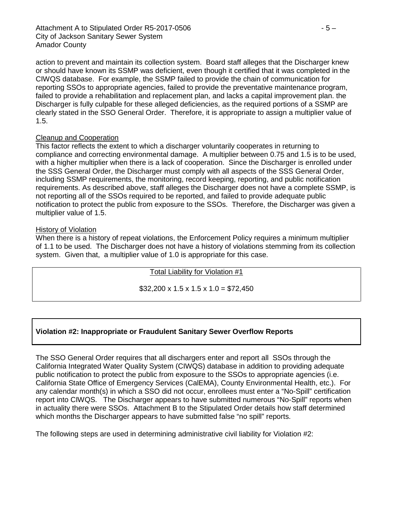action to prevent and maintain its collection system. Board staff alleges that the Discharger knew or should have known its SSMP was deficient, even though it certified that it was completed in the CIWQS database. For example, the SSMP failed to provide the chain of communication for reporting SSOs to appropriate agencies, failed to provide the preventative maintenance program, failed to provide a rehabilitation and replacement plan, and lacks a capital improvement plan. the Discharger is fully culpable for these alleged deficiencies, as the required portions of a SSMP are clearly stated in the SSO General Order. Therefore, it is appropriate to assign a multiplier value of 1.5.

## Cleanup and Cooperation

This factor reflects the extent to which a discharger voluntarily cooperates in returning to compliance and correcting environmental damage. A multiplier between 0.75 and 1.5 is to be used, with a higher multiplier when there is a lack of cooperation. Since the Discharger is enrolled under the SSS General Order, the Discharger must comply with all aspects of the SSS General Order, including SSMP requirements, the monitoring, record keeping, reporting, and public notification requirements. As described above, staff alleges the Discharger does not have a complete SSMP, is not reporting all of the SSOs required to be reported, and failed to provide adequate public notification to protect the public from exposure to the SSOs. Therefore, the Discharger was given a multiplier value of 1.5.

## History of Violation

When there is a history of repeat violations, the Enforcement Policy requires a minimum multiplier of 1.1 to be used. The Discharger does not have a history of violations stemming from its collection system. Given that, a multiplier value of 1.0 is appropriate for this case.

Total Liability for Violation #1

 $$32,200 \times 1.5 \times 1.5 \times 1.0 = $72,450$ 

# **Violation #2: Inappropriate or Fraudulent Sanitary Sewer Overflow Reports**

The SSO General Order requires that all dischargers enter and report all SSOs through the California Integrated Water Quality System (CIWQS) database in addition to providing adequate public notification to protect the public from exposure to the SSOs to appropriate agencies (i.e. California State Office of Emergency Services (CalEMA), County Environmental Health, etc.). For any calendar month(s) in which a SSO did not occur, enrollees must enter a "No-Spill" certification report into CIWQS. The Discharger appears to have submitted numerous "No-Spill" reports when in actuality there were SSOs. Attachment B to the Stipulated Order details how staff determined which months the Discharger appears to have submitted false "no spill" reports.

The following steps are used in determining administrative civil liability for Violation #2: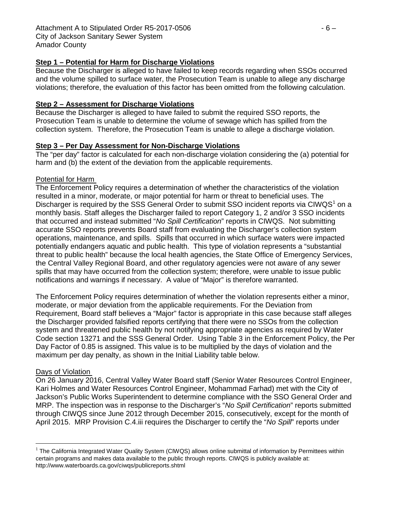# **Step 1 – Potential for Harm for Discharge Violations**

Because the Discharger is alleged to have failed to keep records regarding when SSOs occurred and the volume spilled to surface water, the Prosecution Team is unable to allege any discharge violations; therefore, the evaluation of this factor has been omitted from the following calculation.

## **Step 2 – Assessment for Discharge Violations**

Because the Discharger is alleged to have failed to submit the required SSO reports, the Prosecution Team is unable to determine the volume of sewage which has spilled from the collection system. Therefore, the Prosecution Team is unable to allege a discharge violation.

## **Step 3 – Per Day Assessment for Non-Discharge Violations**

The "per day" factor is calculated for each non-discharge violation considering the (a) potential for harm and (b) the extent of the deviation from the applicable requirements.

## Potential for Harm

The Enforcement Policy requires a determination of whether the characteristics of the violation resulted in a minor, moderate, or major potential for harm or threat to beneficial uses. The Discharger is required by the SSS General Order to submit SSO incident reports via CIWQS<sup>[1](#page-16-0)</sup> on a monthly basis. Staff alleges the Discharger failed to report Category 1, 2 and/or 3 SSO incidents that occurred and instead submitted "*No Spill Certification*" reports in CIWQS. Not submitting accurate SSO reports prevents Board staff from evaluating the Discharger's collection system operations, maintenance, and spills. Spills that occurred in which surface waters were impacted potentially endangers aquatic and public health. This type of violation represents a "substantial threat to public health" because the local health agencies, the State Office of Emergency Services, the Central Valley Regional Board, and other regulatory agencies were not aware of any sewer spills that may have occurred from the collection system; therefore, were unable to issue public notifications and warnings if necessary. A value of "Major" is therefore warranted.

The Enforcement Policy requires determination of whether the violation represents either a minor, moderate, or major deviation from the applicable requirements. For the Deviation from Requirement, Board staff believes a "Major" factor is appropriate in this case because staff alleges the Discharger provided falsified reports certifying that there were no SSOs from the collection system and threatened public health by not notifying appropriate agencies as required by Water Code section 13271 and the SSS General Order. Using Table 3 in the Enforcement Policy, the Per Day Factor of 0.85 is assigned. This value is to be multiplied by the days of violation and the maximum per day penalty, as shown in the Initial Liability table below.

## Days of Violation

On 26 January 2016, Central Valley Water Board staff (Senior Water Resources Control Engineer, Kari Holmes and Water Resources Control Engineer, Mohammad Farhad) met with the City of Jackson's Public Works Superintendent to determine compliance with the SSO General Order and MRP. The inspection was in response to the Discharger's "*No Spill Certification*" reports submitted through CIWQS since June 2012 through December 2015, consecutively, except for the month of April 2015. MRP Provision C.4.iii requires the Discharger to certify the "*No Spill*" reports under

<span id="page-16-0"></span> $1$  The California Integrated Water Quality System (CIWQS) allows online submittal of information by Permittees within certain programs and makes data available to the public through reports. CIWQS is publicly available at: http://www.waterboards.ca.gov/ciwqs/publicreports.shtml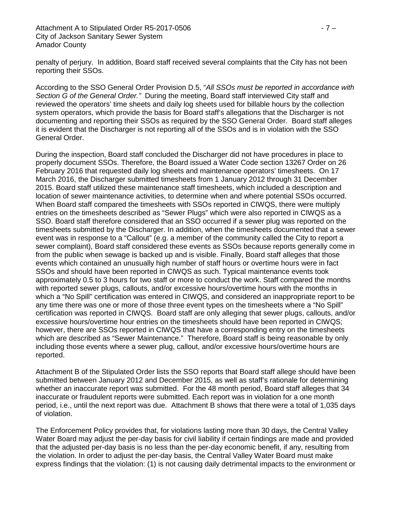penalty of perjury. In addition, Board staff received several complaints that the City has not been reporting their SSOs.

According to the SSO General Order Provision D.5, "*All SSOs must be reported in accordance with Section G of the General Order."* During the meeting, Board staff interviewed City staff and reviewed the operators' time sheets and daily log sheets used for billable hours by the collection system operators, which provide the basis for Board staff's allegations that the Discharger is not documenting and reporting their SSOs as required by the SSO General Order. Board staff alleges it is evident that the Discharger is not reporting all of the SSOs and is in violation with the SSO General Order.

During the inspection, Board staff concluded the Discharger did not have procedures in place to properly document SSOs. Therefore, the Board issued a Water Code section 13267 Order on 26 February 2016 that requested daily log sheets and maintenance operators' timesheets. On 17 March 2016, the Discharger submitted timesheets from 1 January 2012 through 31 December 2015. Board staff utilized these maintenance staff timesheets, which included a description and location of sewer maintenance activities, to determine when and where potential SSOs occurred. When Board staff compared the timesheets with SSOs reported in CIWQS, there were multiply entries on the timesheets described as "Sewer Plugs" which were also reported in CIWQS as a SSO. Board staff therefore considered that an SSO occurred if a sewer plug was reported on the timesheets submitted by the Discharger. In addition, when the timesheets documented that a sewer event was in response to a "Callout" (e.g. a member of the community called the City to report a sewer complaint), Board staff considered these events as SSOs because reports generally come in from the public when sewage is backed up and is visible. Finally, Board staff alleges that those events which contained an unusually high number of staff hours or overtime hours were in fact SSOs and should have been reported in CIWQS as such. Typical maintenance events took approximately 0.5 to 3 hours for two staff or more to conduct the work. Staff compared the months with reported sewer plugs, callouts, and/or excessive hours/overtime hours with the months in which a "No Spill" certification was entered in CIWQS, and considered an inappropriate report to be any time there was one or more of those three event types on the timesheets where a "No Spill" certification was reported in CIWQS. Board staff are only alleging that sewer plugs, callouts, and/or excessive hours/overtime hour entries on the timesheets should have been reported in CIWQS; however, there are SSOs reported in CIWQS that have a corresponding entry on the timesheets which are described as "Sewer Maintenance." Therefore, Board staff is being reasonable by only including those events where a sewer plug, callout, and/or excessive hours/overtime hours are reported.

Attachment B of the Stipulated Order lists the SSO reports that Board staff allege should have been submitted between January 2012 and December 2015, as well as staff's rationale for determining whether an inaccurate report was submitted. For the 48 month period, Board staff alleges that 34 inaccurate or fraudulent reports were submitted. Each report was in violation for a one month period, i.e., until the next report was due. Attachment B shows that there were a total of 1,035 days of violation.

The Enforcement Policy provides that, for violations lasting more than 30 days, the Central Valley Water Board may adjust the per-day basis for civil liability if certain findings are made and provided that the adjusted per-day basis is no less than the per-day economic benefit, if any, resulting from the violation. In order to adjust the per-day basis, the Central Valley Water Board must make express findings that the violation: (1) is not causing daily detrimental impacts to the environment or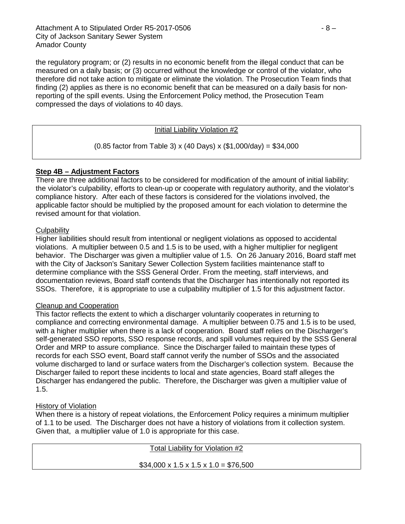the regulatory program; or (2) results in no economic benefit from the illegal conduct that can be measured on a daily basis; or (3) occurred without the knowledge or control of the violator, who therefore did not take action to mitigate or eliminate the violation. The Prosecution Team finds that finding (2) applies as there is no economic benefit that can be measured on a daily basis for nonreporting of the spill events. Using the Enforcement Policy method, the Prosecution Team compressed the days of violations to 40 days.

#### Initial Liability Violation #2

(0.85 factor from Table 3) x (40 Days) x (\$1,000/day) = \$34,000

## **Step 4B – Adjustment Factors**

There are three additional factors to be considered for modification of the amount of initial liability: the violator's culpability, efforts to clean-up or cooperate with regulatory authority, and the violator's compliance history. After each of these factors is considered for the violations involved, the applicable factor should be multiplied by the proposed amount for each violation to determine the revised amount for that violation.

#### **Culpability**

Higher liabilities should result from intentional or negligent violations as opposed to accidental violations. A multiplier between 0.5 and 1.5 is to be used, with a higher multiplier for negligent behavior. The Discharger was given a multiplier value of 1.5. On 26 January 2016, Board staff met with the City of Jackson's Sanitary Sewer Collection System facilities maintenance staff to determine compliance with the SSS General Order. From the meeting, staff interviews, and documentation reviews, Board staff contends that the Discharger has intentionally not reported its SSOs. Therefore, it is appropriate to use a culpability multiplier of 1.5 for this adjustment factor.

#### Cleanup and Cooperation

This factor reflects the extent to which a discharger voluntarily cooperates in returning to compliance and correcting environmental damage. A multiplier between 0.75 and 1.5 is to be used, with a higher multiplier when there is a lack of cooperation. Board staff relies on the Discharger's self-generated SSO reports, SSO response records, and spill volumes required by the SSS General Order and MRP to assure compliance. Since the Discharger failed to maintain these types of records for each SSO event, Board staff cannot verify the number of SSOs and the associated volume discharged to land or surface waters from the Discharger's collection system. Because the Discharger failed to report these incidents to local and state agencies, Board staff alleges the Discharger has endangered the public. Therefore, the Discharger was given a multiplier value of 1.5.

#### History of Violation

When there is a history of repeat violations, the Enforcement Policy requires a minimum multiplier of 1.1 to be used. The Discharger does not have a history of violations from it collection system. Given that, a multiplier value of 1.0 is appropriate for this case.

| Total Liability for Violation #2                     |
|------------------------------------------------------|
| $$34,000 \times 1.5 \times 1.5 \times 1.0 = $76,500$ |
|                                                      |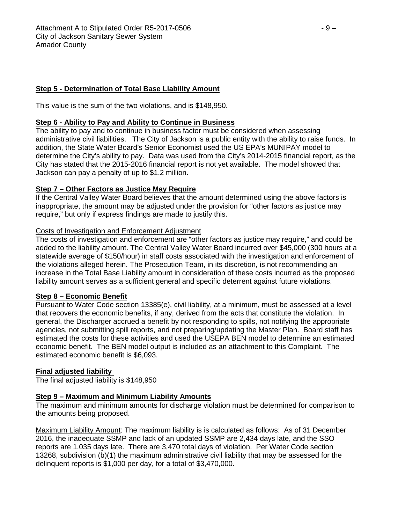# **Step 5 - Determination of Total Base Liability Amount**

This value is the sum of the two violations, and is \$148,950.

# **Step 6 - Ability to Pay and Ability to Continue in Business**

The ability to pay and to continue in business factor must be considered when assessing administrative civil liabilities. The City of Jackson is a public entity with the ability to raise funds. In addition, the State Water Board's Senior Economist used the US EPA's MUNIPAY model to determine the City's ability to pay. Data was used from the City's 2014-2015 financial report, as the City has stated that the 2015-2016 financial report is not yet available. The model showed that Jackson can pay a penalty of up to \$1.2 million.

## **Step 7 – Other Factors as Justice May Require**

If the Central Valley Water Board believes that the amount determined using the above factors is inappropriate, the amount may be adjusted under the provision for "other factors as justice may require," but only if express findings are made to justify this.

## Costs of Investigation and Enforcement Adjustment

The costs of investigation and enforcement are "other factors as justice may require," and could be added to the liability amount. The Central Valley Water Board incurred over \$45,000 (300 hours at a statewide average of \$150/hour) in staff costs associated with the investigation and enforcement of the violations alleged herein. The Prosecution Team, in its discretion, is not recommending an increase in the Total Base Liability amount in consideration of these costs incurred as the proposed liability amount serves as a sufficient general and specific deterrent against future violations.

## **Step 8 – Economic Benefit**

Pursuant to Water Code section 13385(e), civil liability, at a minimum, must be assessed at a level that recovers the economic benefits, if any, derived from the acts that constitute the violation. In general, the Discharger accrued a benefit by not responding to spills, not notifying the appropriate agencies, not submitting spill reports, and not preparing/updating the Master Plan. Board staff has estimated the costs for these activities and used the USEPA BEN model to determine an estimated economic benefit. The BEN model output is included as an attachment to this Complaint. The estimated economic benefit is \$6,093.

#### **Final adjusted liability**

The final adjusted liability is \$148,950

## **Step 9 – Maximum and Minimum Liability Amounts**

The maximum and minimum amounts for discharge violation must be determined for comparison to the amounts being proposed.

Maximum Liability Amount: The maximum liability is is calculated as follows: As of 31 December 2016, the inadequate SSMP and lack of an updated SSMP are 2,434 days late, and the SSO reports are 1,035 days late. There are 3,470 total days of violation. Per Water Code section 13268, subdivision (b)(1) the maximum administrative civil liability that may be assessed for the delinquent reports is \$1,000 per day, for a total of \$3,470,000.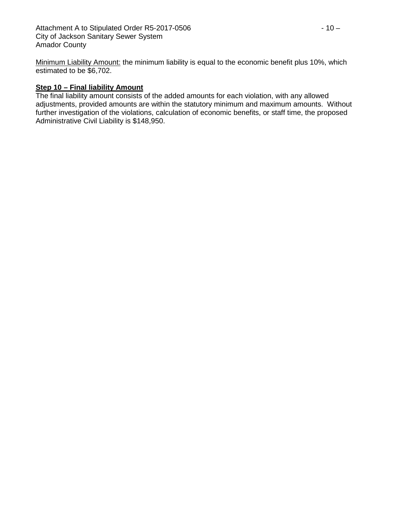Minimum Liability Amount: the minimum liability is equal to the economic benefit plus 10%, which estimated to be \$6,702.

# **Step 10 – Final liability Amount**

The final liability amount consists of the added amounts for each violation, with any allowed adjustments, provided amounts are within the statutory minimum and maximum amounts. Without further investigation of the violations, calculation of economic benefits, or staff time, the proposed Administrative Civil Liability is \$148,950.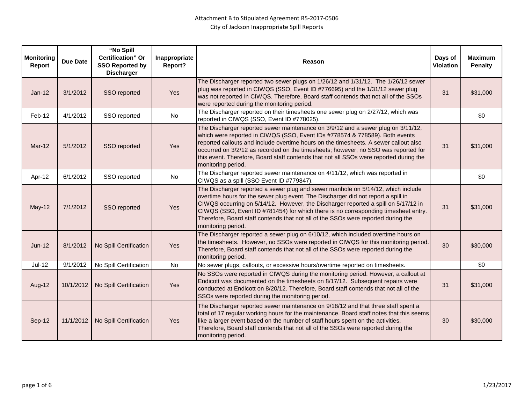| <b>Monitoring</b><br>Report | <b>Due Date</b> | "No Spill<br><b>Certification" Or</b><br><b>SSO Reported by</b><br><b>Discharger</b> | Inappropriate<br>Report? | Reason                                                                                                                                                                                                                                                                                                                                                                                                                                                        | Days of<br>Violation | <b>Maximum</b><br><b>Penalty</b> |
|-----------------------------|-----------------|--------------------------------------------------------------------------------------|--------------------------|---------------------------------------------------------------------------------------------------------------------------------------------------------------------------------------------------------------------------------------------------------------------------------------------------------------------------------------------------------------------------------------------------------------------------------------------------------------|----------------------|----------------------------------|
| $Jan-12$                    | 3/1/2012        | SSO reported                                                                         | Yes                      | The Discharger reported two sewer plugs on 1/26/12 and 1/31/12. The 1/26/12 sewer<br>plug was reported in CIWQS (SSO, Event ID #776695) and the 1/31/12 sewer plug<br>was not reported in CIWQS. Therefore, Board staff contends that not all of the SSOs<br>were reported during the monitoring period.                                                                                                                                                      | 31                   | \$31,000                         |
| Feb-12                      | 4/1/2012        | SSO reported                                                                         | No                       | The Discharger reported on their timesheets one sewer plug on 2/27/12, which was<br>reported in CIWQS (SSO, Event ID #778025).                                                                                                                                                                                                                                                                                                                                |                      | \$0                              |
| $Mar-12$                    | 5/1/2012        | SSO reported                                                                         | Yes                      | The Discharger reported sewer maintenance on 3/9/12 and a sewer plug on 3/11/12,<br>which were reported in CIWQS (SSO, Event IDs #778574 & 778589). Both events<br>reported callouts and include overtime hours on the timesheets. A sewer callout also<br>occurred on 3/2/12 as recorded on the timesheets; however, no SSO was reported for<br>this event. Therefore, Board staff contends that not all SSOs were reported during the<br>monitoring period. | 31                   | \$31,000                         |
| Apr-12                      | 6/1/2012        | SSO reported                                                                         | No                       | The Discharger reported sewer maintenance on 4/11/12, which was reported in<br>CIWQS as a spill (SSO Event ID #779847).                                                                                                                                                                                                                                                                                                                                       |                      | \$0                              |
| May-12                      | 7/1/2012        | SSO reported                                                                         | Yes                      | The Discharger reported a sewer plug and sewer manhole on 5/14/12, which include<br>overtime hours for the sewer plug event. The Discharger did not report a spill in<br>CIWQS occurring on 5/14/12. However, the Discharger reported a spill on 5/17/12 in<br>CIWQS (SSO, Event ID #781454) for which there is no corresponding timesheet entry.<br>Therefore, Board staff contends that not all of the SSOs were reported during the<br>monitoring period.  | 31                   | \$31,000                         |
| $Jun-12$                    | 8/1/2012        | No Spill Certification                                                               | Yes                      | The Discharger reported a sewer plug on 6/10/12, which included overtime hours on<br>the timesheets. However, no SSOs were reported in CIWQS for this monitoring period.<br>Therefore, Board staff contends that not all of the SSOs were reported during the<br>monitoring period.                                                                                                                                                                           | 30                   | \$30,000                         |
| $Jul-12$                    | 9/1/2012        | No Spill Certification                                                               | <b>No</b>                | No sewer plugs, callouts, or excessive hours/overtime reported on timesheets.                                                                                                                                                                                                                                                                                                                                                                                 |                      | \$0                              |
| Aug-12                      | 10/1/2012       | No Spill Certification                                                               | Yes                      | No SSOs were reported in CIWQS during the monitoring period. However, a callout at<br>Endicott was documented on the timesheets on 8/17/12. Subsequent repairs were<br>conducted at Endicott on 8/20/12. Therefore, Board staff contends that not all of the<br>SSOs were reported during the monitoring period.                                                                                                                                              | 31                   | \$31,000                         |
| Sep-12                      | 11/1/2012       | No Spill Certification                                                               | Yes                      | The Discharger reported sewer maintenance on 9/18/12 and that three staff spent a<br>total of 17 regular working hours for the maintenance. Board staff notes that this seems<br>like a larger event based on the number of staff hours spent on the activities.<br>Therefore, Board staff contends that not all of the SSOs were reported during the<br>monitoring period.                                                                                   | 30                   | \$30,000                         |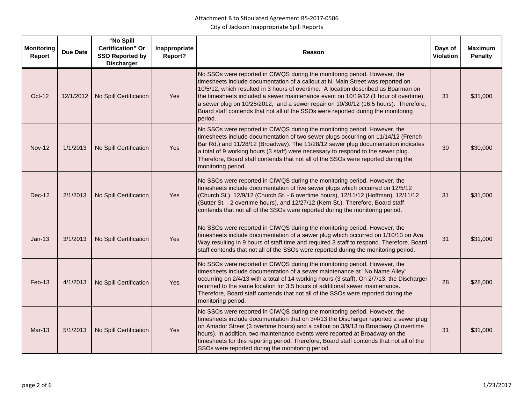| <b>Monitoring</b><br>Report | <b>Due Date</b> | "No Spill<br><b>Certification" Or</b><br><b>SSO Reported by</b><br><b>Discharger</b> | Inappropriate<br>Report? | Reason                                                                                                                                                                                                                                                                                                                                                                                                                                                                                                                           | Days of<br><b>Violation</b> | <b>Maximum</b><br><b>Penalty</b> |
|-----------------------------|-----------------|--------------------------------------------------------------------------------------|--------------------------|----------------------------------------------------------------------------------------------------------------------------------------------------------------------------------------------------------------------------------------------------------------------------------------------------------------------------------------------------------------------------------------------------------------------------------------------------------------------------------------------------------------------------------|-----------------------------|----------------------------------|
| Oct-12                      | 12/1/2012       | No Spill Certification                                                               | Yes                      | No SSOs were reported in CIWQS during the monitoring period. However, the<br>timesheets include documentation of a callout at N. Main Street was reported on<br>10/5/12, which resulted in 3 hours of overtime. A location described as Boarman on<br>the timesheets included a sewer maintenance event on 10/19/12 (1 hour of overtime),<br>a sewer plug on 10/25/2012, and a sewer repair on 10/30/12 (16.5 hours). Therefore,<br>Board staff contends that not all of the SSOs were reported during the monitoring<br>period. | 31                          | \$31,000                         |
| <b>Nov-12</b>               | 1/1/2013        | No Spill Certification                                                               | <b>Yes</b>               | No SSOs were reported in CIWQS during the monitoring period. However, the<br>timesheets include documentation of two sewer plugs occurring on 11/14/12 (French<br>Bar Rd.) and 11/28/12 (Broadway). The 11/28/12 sewer plug documentation indicates<br>a total of 9 working hours (3 staff) were necessary to respond to the sewer plug.<br>Therefore, Board staff contends that not all of the SSOs were reported during the<br>monitoring period.                                                                              | 30                          | \$30,000                         |
| <b>Dec-12</b>               | 2/1/2013        | No Spill Certification                                                               | Yes                      | No SSOs were reported in CIWQS during the monitoring period. However, the<br>timesheets include documentation of five sewer plugs which occurred on 12/5/12<br>(Church St.), 12/9/12 (Church St. - 6 overtime hours), 12/11/12 (Hoffman), 12/11/12<br>(Sutter St. - 2 overtime hours), and 12/27/12 (Kern St.). Therefore, Board staff<br>contends that not all of the SSOs were reported during the monitoring period.                                                                                                          | 31                          | \$31,000                         |
| $Jan-13$                    | 3/1/2013        | No Spill Certification                                                               | Yes                      | No SSOs were reported in CIWQS during the monitoring period. However, the<br>timesheets include documentation of a sewer plug which occurred on 1/10/13 on Ava<br>Way resulting in 9 hours of staff time and required 3 staff to respond. Therefore, Board<br>staff contends that not all of the SSOs were reported during the monitoring period.                                                                                                                                                                                | 31                          | \$31,000                         |
| $Feb-13$                    | 4/1/2013        | No Spill Certification                                                               | Yes                      | No SSOs were reported in CIWQS during the monitoring period. However, the<br>timesheets include documentation of a sewer maintenance at "No Name Alley"<br>occurring on 2/4/13 with a total of 14 working hours (3 staff). On 2/7/13, the Discharger<br>returned to the same location for 3.5 hours of additional sewer maintenance.<br>Therefore, Board staff contends that not all of the SSOs were reported during the<br>monitoring period.                                                                                  | 28                          | \$28,000                         |
| <b>Mar-13</b>               | 5/1/2013        | No Spill Certification                                                               | Yes                      | No SSOs were reported in CIWQS during the monitoring period. However, the<br>timesheets include documentation that on 3/4/13 the Discharger reported a sewer plug<br>on Amador Street (3 overtime hours) and a callout on 3/9/13 to Broadway (3 overtime<br>hours). In addition, two maintenance events were reported at Broadway on the<br>timesheets for this reporting period. Therefore, Board staff contends that not all of the<br>SSOs were reported during the monitoring period.                                        | 31                          | \$31,000                         |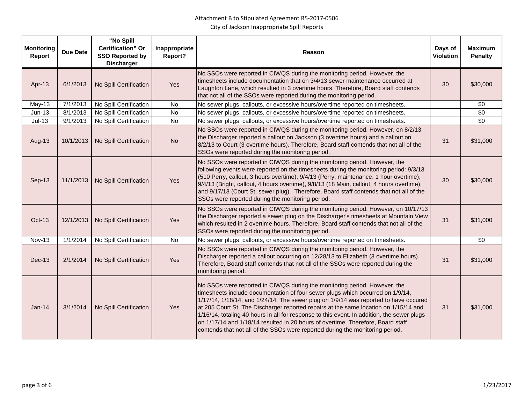| <b>Monitoring</b><br>Report | <b>Due Date</b> | "No Spill<br><b>Certification</b> " Or<br><b>SSO Reported by</b><br><b>Discharger</b> | Inappropriate<br>Report? | Reason                                                                                                                                                                                                                                                                                                                                                                                                                                                                                                                                                                                                        | Days of<br><b>Violation</b> | <b>Maximum</b><br><b>Penalty</b> |
|-----------------------------|-----------------|---------------------------------------------------------------------------------------|--------------------------|---------------------------------------------------------------------------------------------------------------------------------------------------------------------------------------------------------------------------------------------------------------------------------------------------------------------------------------------------------------------------------------------------------------------------------------------------------------------------------------------------------------------------------------------------------------------------------------------------------------|-----------------------------|----------------------------------|
| Apr-13                      | 6/1/2013        | No Spill Certification                                                                | Yes                      | No SSOs were reported in CIWQS during the monitoring period. However, the<br>timesheets include documentation that on 3/4/13 sewer maintenance occurred at<br>Laughton Lane, which resulted in 3 overtime hours. Therefore, Board staff contends<br>that not all of the SSOs were reported during the monitoring period.                                                                                                                                                                                                                                                                                      | 30                          | \$30,000                         |
| $May-13$                    | 7/1/2013        | No Spill Certification                                                                | <b>No</b>                | No sewer plugs, callouts, or excessive hours/overtime reported on timesheets.                                                                                                                                                                                                                                                                                                                                                                                                                                                                                                                                 |                             | \$0                              |
| $Jun-13$                    | 8/1/2013        | No Spill Certification                                                                | No                       | No sewer plugs, callouts, or excessive hours/overtime reported on timesheets.                                                                                                                                                                                                                                                                                                                                                                                                                                                                                                                                 |                             | \$0                              |
| $Jul-13$                    | 9/1/2013        | No Spill Certification                                                                | $\overline{N}$           | No sewer plugs, callouts, or excessive hours/overtime reported on timesheets.                                                                                                                                                                                                                                                                                                                                                                                                                                                                                                                                 |                             | $\sqrt{6}$                       |
| Aug-13                      | 10/1/2013       | No Spill Certification                                                                | <b>No</b>                | No SSOs were reported in CIWQS during the monitoring period. However, on 8/2/13<br>the Discharger reported a callout on Jackson (3 overtime hours) and a callout on<br>8/2/13 to Court (3 overtime hours). Therefore, Board staff contends that not all of the<br>SSOs were reported during the monitoring period.                                                                                                                                                                                                                                                                                            | 31                          | \$31,000                         |
| Sep-13                      | 11/1/2013       | No Spill Certification                                                                | Yes                      | No SSOs were reported in CIWQS during the monitoring period. However, the<br>following events were reported on the timesheets during the monitoring period: 9/3/13<br>(510 Perry, callout, 3 hours overtime), 9/4/13 (Perry, maintenance, 1 hour overtime),<br>9/4/13 (Bright, callout, 4 hours overtime), 9/8/13 (18 Main, callout, 4 hours overtime),<br>and 9/17/13 (Court St, sewer plug). Therefore, Board staff contends that not all of the<br>SSOs were reported during the monitoring period.                                                                                                        | 30                          | \$30,000                         |
| <b>Oct-13</b>               | 12/1/2013       | No Spill Certification                                                                | Yes                      | No SSOs were reported in CIWQS during the monitoring period. However, on 10/17/13<br>the Discharger reported a sewer plug on the Discharger's timesheets at Mountain View<br>which resulted in 2 overtime hours. Therefore, Board staff contends that not all of the<br>SSOs were reported during the monitoring period.                                                                                                                                                                                                                                                                                      | 31                          | \$31,000                         |
| <b>Nov-13</b>               | 1/1/2014        | No Spill Certification                                                                | No                       | No sewer plugs, callouts, or excessive hours/overtime reported on timesheets.                                                                                                                                                                                                                                                                                                                                                                                                                                                                                                                                 |                             | \$0                              |
| $Dec-13$                    | 2/1/2014        | No Spill Certification                                                                | <b>Yes</b>               | No SSOs were reported in CIWQS during the monitoring period. However, the<br>Discharger reported a callout occurring on 12/28/13 to Elizabeth (3 overtime hours).<br>Therefore, Board staff contends that not all of the SSOs were reported during the<br>monitoring period.                                                                                                                                                                                                                                                                                                                                  | 31                          | \$31,000                         |
| $Jan-14$                    | 3/1/2014        | No Spill Certification                                                                | Yes                      | No SSOs were reported in CIWQS during the monitoring period. However, the<br>timesheets include documentation of four sewer plugs which occurred on 1/9/14,<br>1/17/14, 1/18/14, and 1/24/14. The sewer plug on 1/9/14 was reported to have occured<br>at 205 Court St. The Discharger reported repairs at the same location on 1/15/14 and<br>1/16/14, totaling 40 hours in all for response to this event. In addition, the sewer plugs<br>on 1/17/14 and 1/18/14 resulted in 20 hours of overtime. Therefore, Board staff<br>contends that not all of the SSOs were reported during the monitoring period. | 31                          | \$31,000                         |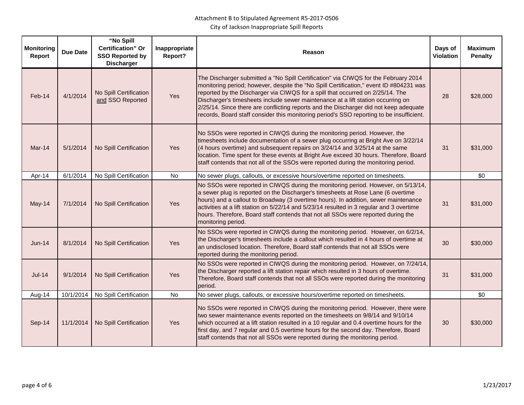| <b>Monitoring</b><br>Report | <b>Due Date</b> | "No Spill<br><b>Certification</b> " Or<br><b>SSO Reported by</b><br><b>Discharger</b> | Inappropriate<br>Report? | Reason                                                                                                                                                                                                                                                                                                                                                                                                                                                                                                                                   | Days of<br><b>Violation</b> | <b>Maximum</b><br><b>Penalty</b> |
|-----------------------------|-----------------|---------------------------------------------------------------------------------------|--------------------------|------------------------------------------------------------------------------------------------------------------------------------------------------------------------------------------------------------------------------------------------------------------------------------------------------------------------------------------------------------------------------------------------------------------------------------------------------------------------------------------------------------------------------------------|-----------------------------|----------------------------------|
| Feb-14                      | 4/1/2014        | No Spill Certification<br>and SSO Reported                                            | Yes                      | The Discharger submitted a "No Spill Certification" via CIWQS for the February 2014<br>monitoring period; however, despite the "No Spill Certification," event ID #804231 was<br>reported by the Discharger via CIWQS for a spill that occurred on 2/25/14. The<br>Discharger's timesheets include sewer maintenance at a lift station occurring on<br>2/25/14. Since there are conflicting reports and the Discharger did not keep adequate<br>records, Board staff consider this monitoring period's SSO reporting to be insufficient. | 28                          | \$28,000                         |
| Mar-14                      | 5/1/2014        | No Spill Certification                                                                | Yes                      | No SSOs were reported in CIWQS during the monitoring period. However, the<br>timesheets include documentation of a sewer plug occurring at Bright Ave on 3/22/14<br>(4 hours overtime) and subsequent repairs on 3/24/14 and 3/25/14 at the same<br>location. Time spent for these events at Bright Ave exceed 30 hours. Therefore, Board<br>staff contends that not all of the SSOs were reported during the monitoring period.                                                                                                         | 31                          | \$31,000                         |
| Apr-14                      | 6/1/2014        | No Spill Certification                                                                | <b>No</b>                | No sewer plugs, callouts, or excessive hours/overtime reported on timesheets.                                                                                                                                                                                                                                                                                                                                                                                                                                                            |                             | \$0                              |
| May-14                      | 7/1/2014        | No Spill Certification                                                                | Yes                      | No SSOs were reported in CIWQS during the monitoring period. However, on 5/13/14,<br>a sewer plug is reported on the Discharger's timesheets at Rose Lane (6 overtime<br>hours) and a callout to Broadway (3 overtime hours). In addition, sewer maintenance<br>activities at a lift station on 5/22/14 and 5/23/14 resulted in 3 regular and 3 overtime<br>hours. Therefore, Board staff contends that not all SSOs were reported during the<br>monitoring period.                                                                      | 31                          | \$31,000                         |
| <b>Jun-14</b>               | 8/1/2014        | No Spill Certification                                                                | Yes                      | No SSOs were reported in CIWQS during the monitoring period. However, on 6/2/14,<br>the Discharger's timesheets include a callout which resulted in 4 hours of overtime at<br>an undisclosed location. Therefore, Board staff contends that not all SSOs were<br>reported during the monitoring period.                                                                                                                                                                                                                                  | 30                          | \$30,000                         |
| $Jul-14$                    | 9/1/2014        | No Spill Certification                                                                | Yes                      | No SSOs were reported in CIWQS during the monitoring period. However, on 7/24/14,<br>the Discharger reported a lift station repair which resulted in 3 hours of overtime.<br>Therefore, Board staff contends that not all SSOs were reported during the monitoring<br>period.                                                                                                                                                                                                                                                            | 31                          | \$31,000                         |
| Aug-14                      | 10/1/2014       | No Spill Certification                                                                | No                       | No sewer plugs, callouts, or excessive hours/overtime reported on timesheets.                                                                                                                                                                                                                                                                                                                                                                                                                                                            |                             | \$0                              |
| Sep-14                      | 11/1/2014       | No Spill Certification                                                                | Yes                      | No SSOs were reported in CIWQS during the monitoring period. However, there were<br>two sewer maintenance events reported on the timesheets on 9/8/14 and 9/10/14<br>which occurred at a lift station resulted in a 10 regular and 0.4 overtime hours for the<br>first day, and 7 regular and 0.5 overtime hours for the second day. Therefore, Board<br>staff contends that not all SSOs were reported during the monitoring period.                                                                                                    | 30                          | \$30,000                         |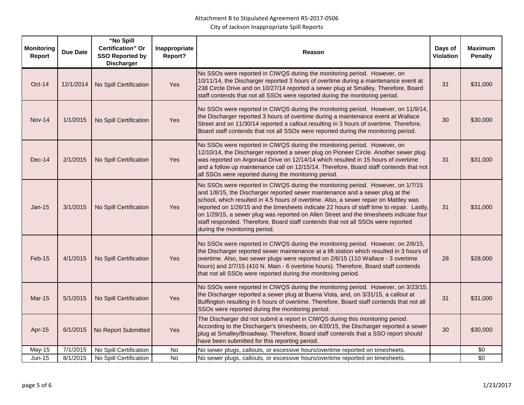| <b>Monitoring</b><br>Report | <b>Due Date</b> | "No Spill<br><b>Certification</b> " Or<br><b>SSO Reported by</b><br><b>Discharger</b> | Inappropriate<br>Report? | Reason                                                                                                                                                                                                                                                                                                                                                                                                                                                                                                                                                               | Days of<br><b>Violation</b> | <b>Maximum</b><br><b>Penalty</b> |
|-----------------------------|-----------------|---------------------------------------------------------------------------------------|--------------------------|----------------------------------------------------------------------------------------------------------------------------------------------------------------------------------------------------------------------------------------------------------------------------------------------------------------------------------------------------------------------------------------------------------------------------------------------------------------------------------------------------------------------------------------------------------------------|-----------------------------|----------------------------------|
| Oct-14                      | 12/1/2014       | No Spill Certification                                                                | Yes                      | No SSOs were reported in CIWQS during the monitoring period. However, on<br>10/11/14, the Discharger reported 3 hours of overtime during a maintenance event at<br>238 Circle Drive and on 10/27/14 reported a sewer plug at Smalley. Therefore, Board<br>staff contends that not all SSOs were reported during the monitoring period.                                                                                                                                                                                                                               | 31                          | \$31,000                         |
| <b>Nov-14</b>               | 1/1/2015        | No Spill Certification                                                                | Yes                      | No SSOs were reported in CIWQS during the monitoring period. However, on 11/9/14,<br>the Discharger reported 3 hours of overtime during a maintenance event at Wallace<br>Street and on 11/30/14 reported a callout resulting in 3 hours of overtime. Therefore,<br>Board staff contends that not all SSOs were reported during the monitoring period.                                                                                                                                                                                                               | 30                          | \$30,000                         |
| $Dec-14$                    | 2/1/2015        | No Spill Certification                                                                | Yes                      | No SSOs were reported in CIWQS during the monitoring period. However, on<br>12/10/14, the Discharger reported a sewer plug on Pioneer Circle. Another sewer plug<br>was reported on Argonaut Drive on 12/14/14 which resulted in 15 hours of overtime<br>and a follow up maintenance call on 12/15/14. Therefore, Board staff contends that not<br>all SSOs were reported during the monitoring period.                                                                                                                                                              | 31                          | \$31,000                         |
| $Jan-15$                    | 3/1/2015        | No Spill Certification                                                                | Yes                      | No SSOs were reported in CIWQS during the monitoring period. However, on 1/7/15<br>and 1/8/15, the Discharger reported sewer maintenance and a sewer plug at the<br>school, which resulted in 4.5 hours of overtime. Also, a sewer repair on Mattley was<br>reported on 1/26/15 and the timesheets indicate 22 hours of staff time to repair. Lastly,<br>on 1/29/15, a sewer plug was reported on Allen Street and the timesheets indicate four<br>staff responded. Therefore, Board staff contends that not all SSOs were reported<br>during the monitoring period. | 31                          | \$31,000                         |
| Feb-15                      | 4/1/2015        | No Spill Certification                                                                | Yes                      | No SSOs were reported in CIWQS during the monitoring period. However, on 2/6/15,<br>the Discharger reported sewer maintenance at a lift station which resulted in 3 hours of<br>overtime. Also, two sewer plugs were reported on 2/6/15 (110 Wallace - 3 overtime<br>hours) and 2/7/15 (410 N. Main - 6 overtime hours). Therefore, Board staff contends<br>that not all SSOs were reported during the monitoring period.                                                                                                                                            | 28                          | \$28,000                         |
| $Mar-15$                    | 5/1/2015        | No Spill Certification                                                                | Yes                      | No SSOs were reported in CIWQS during the monitoring period. However, on 3/23/15,<br>the Discharger reported a sewer plug at Buena Vista, and, on 3/31/15, a callout at<br>Buffington resulting in 6 hours of overtime. Therefore, Board staff contends that not all<br>SSOs were reported during the monitoring period.                                                                                                                                                                                                                                             | 31                          | \$31,000                         |
| Apr-15                      | 6/1/2015        | No Report Submitted                                                                   | <b>Yes</b>               | The Discharger did not submit a report in CIWQS during this monitoring period.<br>According to the Discharger's timesheets, on 4/20/15, the Discharger reported a sewer<br>plug at Smalley/Broadway. Therefore, Board staff contends that a SSO report should<br>have been submitted for this reporting period.                                                                                                                                                                                                                                                      | 30                          | \$30,000                         |
| <b>May-15</b>               | 7/1/2015        | No Spill Certification                                                                | No                       | No sewer plugs, callouts, or excessive hours/overtime reported on timesheets.                                                                                                                                                                                                                                                                                                                                                                                                                                                                                        |                             | \$0                              |
| Jun-15                      | 8/1/2015        | No Spill Certification                                                                | No                       | No sewer plugs, callouts, or excessive hours/overtime reported on timesheets.                                                                                                                                                                                                                                                                                                                                                                                                                                                                                        |                             | $\overline{30}$                  |